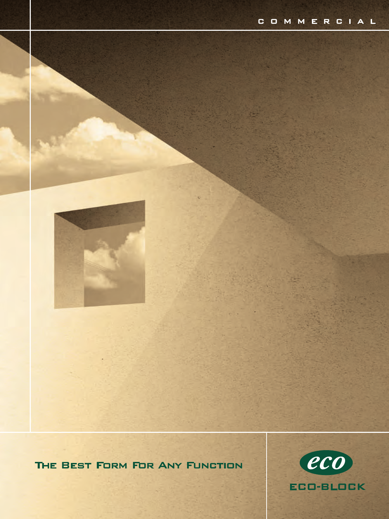

THE BEST FORM FOR ANY FUNCTION

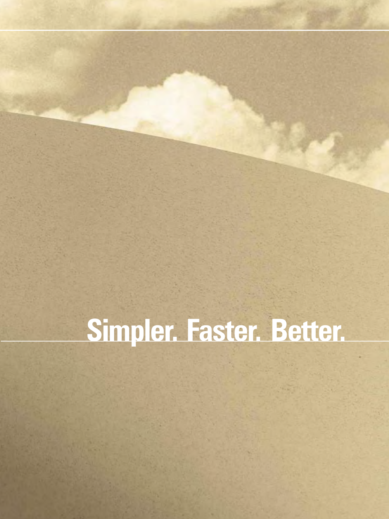### **Simpler. Faster. Better.**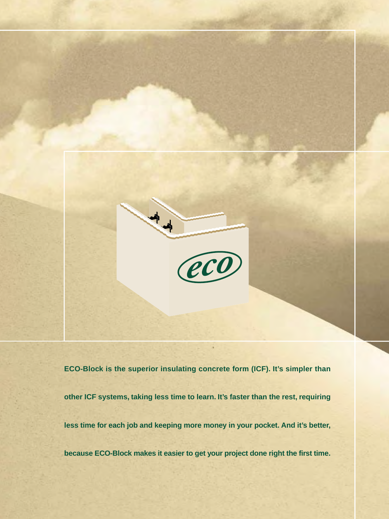

**ECO-Block is the superior insulating concrete form (ICF). It's simpler than other ICF systems, taking less time to learn. It's faster than the rest, requiring less time for each job and keeping more money in your pocket. And it's better, because ECO-Block makes it easier to get your project done right the first time.**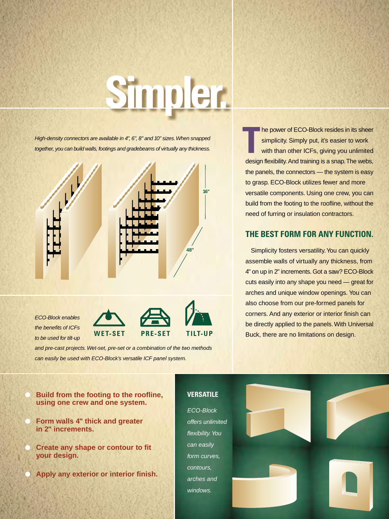# **Simpler.**

High-density connectors are available in 4", 6", 8" and 10" sizes. When snapped together, you can build walls, footings and gradebeams of virtually any thickness.



the benefits of ICFs to be used for tilt-up **WET-SET PRE-SET TILT-UP**

and pre-cast projects. Wet-set, pre-set or a combination of the two methods can easily be used with ECO-Block's versatile ICF panel system.

he power of ECO-Block resides in its sheer simplicity. Simply put, it's easier to work with than other ICFs, giving you unlimited design flexibility. And training is a snap. The webs, the panels, the connectors — the system is easy to grasp. ECO-Block utilizes fewer and more versatile components. Using one crew, you can build from the footing to the roofline, without the need of furring or insulation contractors. **T**

### **THE BEST FORM FOR ANY FUNCTION.**

Simplicity fosters versatility. You can quickly assemble walls of virtually any thickness, from 4" on up in 2" increments. Got a saw? ECO-Block cuts easily into any shape you need — great for arches and unique window openings. You can also choose from our pre-formed panels for corners. And any exterior or interior finish can be directly applied to the panels. With Universal Buck, there are no limitations on design.

#### **Build from the footing to the roofline, using one crew and one system.**

- **Form walls 4" thick and greater in 2" increments.**
- **Create any shape or contour to fit your design.**
- **Apply any exterior or interior finish.**

### **VERSATILE**

ECO-Block offers unlimited flexibility. You can easily form curves, contours, arches and windows.

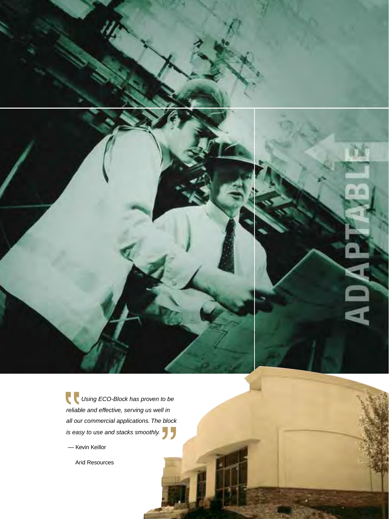





Using ECO-Block has proven to be reliable and effective, serving us well in all our commercial applications. The block is easy to use and stacks smoothly.

— Kevin Keillor

Arid Resources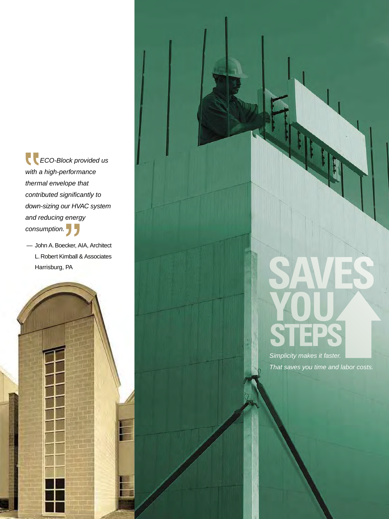ECO-Block provided us with a high-performance thermal envelope that contributed significantly to down-sizing our HVAC system and reducing energy consumption. **J** 

— John A. Boecker, AIA, Architect L. Robert Kimball & Associates Harrisburg, PA



Simplicity makes it faster. That saves you time and labor costs.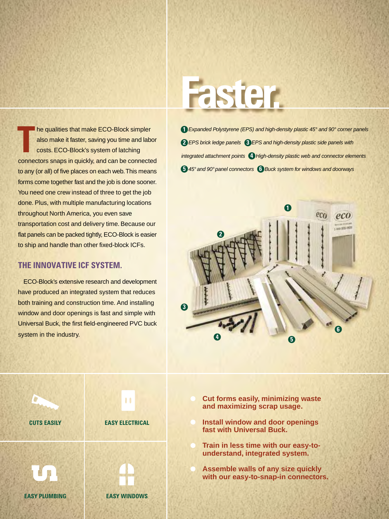he qualities that make ECO-Block simpler also make it faster, saving you time and labor costs. ECO-Block's system of latching connectors snaps in quickly, and can be connected to any (or all) of five places on each web. This means forms come together fast and the job is done sooner. You need one crew instead of three to get the job done. Plus, with multiple manufacturing locations throughout North America, you even save transportation cost and delivery time. Because our flat panels can be packed tightly, ECO-Block is easier to ship and handle than other fixed-block ICFs. **T**

### **THE INNOVATIVE ICF SYSTEM.**

ECO-Block's extensive research and development have produced an integrated system that reduces both training and construction time. And installing window and door openings is fast and simple with Universal Buck, the first field-engineered PVC buck system in the industry.

### **Faster.**

Expanded Polystyrene (EPS) and high-density plastic 45° and 90° corner panels **1 2** EPS brick ledge panels **3** EPS and high-density plastic side panels with integrated attachment pointsHigh-density plastic web and connector elements **4 5** 45° and 90° panel connectors **6** Buck system for windows and doorways





- **Cut forms easily, minimizing waste and maximizing scrap usage.**
- **Install window and door openings fast with Universal Buck.**
- **Train in less time with our easy-tounderstand, integrated system.**
- **Assemble walls of any size quickly with our easy-to-snap-in connectors.**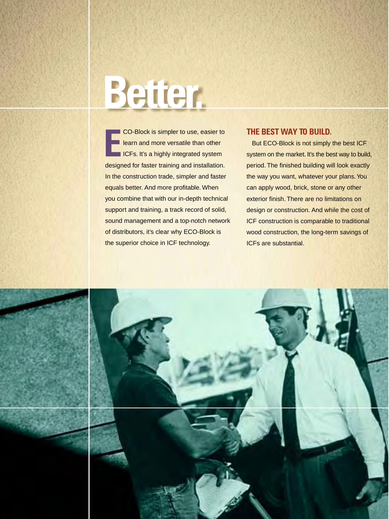## **Better.**

CO-Block is simpler to use, easier to learn and more versatile than other **ICFs. It's a highly integrated system** designed for faster training and installation. In the construction trade, simpler and faster equals better. And more profitable. When you combine that with our in-depth technical support and training, a track record of solid, sound management and a top-notch network of distributors, it's clear why ECO-Block is the superior choice in ICF technology. CO-Block is simpler to use, easier to **THE BEST WAY TO BUILD.**<br> **EXECUTE:** ICFS. It's a highly integrated system on the market. It's the bearing the system on the market. It's the bearing the system on the market. It's the

But ECO-Block is not simply the best ICF system on the market. It's the best way to build, period. The finished building will look exactly the way you want, whatever your plans. You can apply wood, brick, stone or any other exterior finish. There are no limitations on design or construction. And while the cost of ICF construction is comparable to traditional wood construction, the long-term savings of ICFs are substantial.

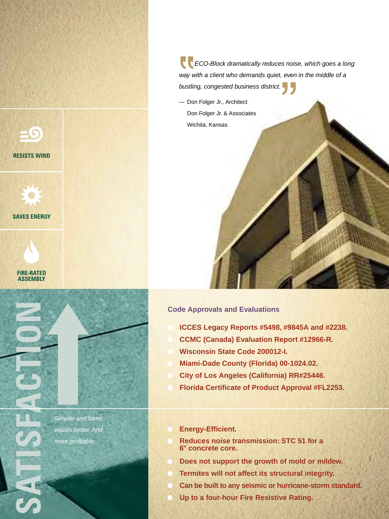



**SAVES ENERGY**





Simpler and faster equals better. And more profitable.

**ECO-Block dramatically reduces noise, which goes a long** way with a client who demands quiet, even in the middle of a bustling, congested business district.

— Don Folger Jr., Architect Don Folger Jr. & Associates Wichita, Kansas

#### **Code Approvals and Evaluations**

- **ICCES Legacy Reports #5498, #9845A and #2238.**
- **CCMC (Canada) Evaluation Report #12966-R.**
- **Wisconsin State Code 200012-I.**
- **Miami-Dade County (Florida) 00-1024.02.**
- **City of Los Angeles (California) RR#25446.**
- **Florida Certificate of Product Approval #FL2253.**
- **Energy-Efficient.**
- **Reduces noise transmission: STC 51 for a 6" concrete core.**
- **Does not support the growth of mold or mildew.**
- **Termites will not affect its structural integrity.**
- **Can be built to any seismic or hurricane-storm standard.**
- **Up to a four-hour Fire Resistive Rating.**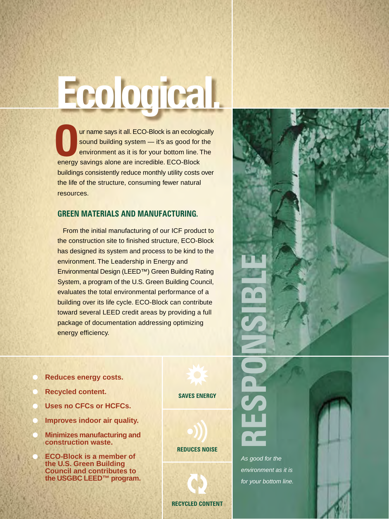ur name says it all. ECO-Block is an ecologically sound building system — it's as good for the environment as it is for your bottom line. The are name says it all. ECO-Block is an ecolog sound building system — it's as good for environment as it is for your bottom line.<br>
energy savings alone are incredible. ECO-Block buildings consistently reduce monthly utility costs over the life of the structure, consuming fewer natural resources.

**Ecological.**

### **GREEN MATERIALS AND MANUFACTURING.**

From the initial manufacturing of our ICF product to the construction site to finished structure, ECO-Block has designed its system and process to be kind to the environment. The Leadership in Energy and Environmental Design (LEED™) Green Building Rating System, a program of the U.S. Green Building Council, evaluates the total environmental performance of a building over its life cycle. ECO-Block can contribute toward several LEED credit areas by providing a full package of documentation addressing optimizing energy efficiency.

- **Reduces energy costs.**
- **Recycled content.**
- **Uses no CFCs or HCFCs.**
- **Improves indoor air quality.**
- **Minimizes manufacturing and construction waste.**
- **ECO-Block is a member of the U.S. Green Building Council and contributes to the USGBC LEED™ program.**

**SAVES ENERGY**

**REDUCES NOISE**

**RECYCLED CONTENT**

As good for the environment as it is for your bottom line.